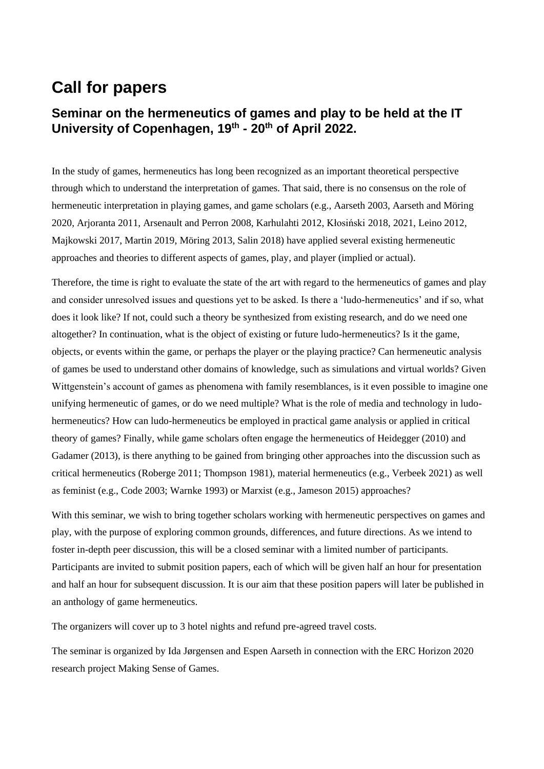## **Call for papers**

## **Seminar on the hermeneutics of games and play to be held at the IT University of Copenhagen, 19 th - 20th of April 2022.**

In the study of games, hermeneutics has long been recognized as an important theoretical perspective through which to understand the interpretation of games. That said, there is no consensus on the role of hermeneutic interpretation in playing games, and game scholars (e.g., Aarseth 2003, Aarseth and Möring 2020, Arjoranta 2011, Arsenault and Perron 2008, Karhulahti 2012, Kłosiński 2018, 2021, Leino 2012, Majkowski 2017, Martin 2019, Möring 2013, Salin 2018) have applied several existing hermeneutic approaches and theories to different aspects of games, play, and player (implied or actual).

Therefore, the time is right to evaluate the state of the art with regard to the hermeneutics of games and play and consider unresolved issues and questions yet to be asked. Is there a 'ludo-hermeneutics' and if so, what does it look like? If not, could such a theory be synthesized from existing research, and do we need one altogether? In continuation, what is the object of existing or future ludo-hermeneutics? Is it the game, objects, or events within the game, or perhaps the player or the playing practice? Can hermeneutic analysis of games be used to understand other domains of knowledge, such as simulations and virtual worlds? Given Wittgenstein's account of games as phenomena with family resemblances, is it even possible to imagine one unifying hermeneutic of games, or do we need multiple? What is the role of media and technology in ludohermeneutics? How can ludo-hermeneutics be employed in practical game analysis or applied in critical theory of games? Finally, while game scholars often engage the hermeneutics of Heidegger (2010) and Gadamer (2013), is there anything to be gained from bringing other approaches into the discussion such as critical hermeneutics (Roberge 2011; Thompson 1981), material hermeneutics (e.g., Verbeek 2021) as well as feminist (e.g., Code 2003; Warnke 1993) or Marxist (e.g., Jameson 2015) approaches?

With this seminar, we wish to bring together scholars working with hermeneutic perspectives on games and play, with the purpose of exploring common grounds, differences, and future directions. As we intend to foster in-depth peer discussion, this will be a closed seminar with a limited number of participants. Participants are invited to submit position papers, each of which will be given half an hour for presentation and half an hour for subsequent discussion. It is our aim that these position papers will later be published in an anthology of game hermeneutics.

The organizers will cover up to 3 hotel nights and refund pre-agreed travel costs.

The seminar is organized by Ida Jørgensen and Espen Aarseth in connection with the ERC Horizon 2020 research project Making Sense of Games.